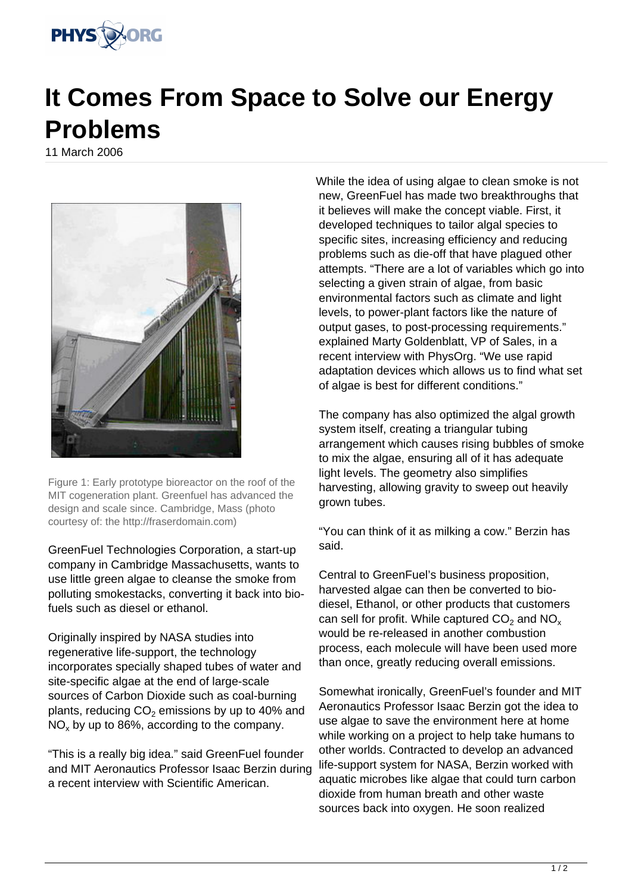

## **It Comes From Space to Solve our Energy Problems**

11 March 2006



Figure 1: Early prototype bioreactor on the roof of the MIT cogeneration plant. Greenfuel has advanced the design and scale since. Cambridge, Mass (photo courtesy of: the http://fraserdomain.com)

GreenFuel Technologies Corporation, a start-up company in Cambridge Massachusetts, wants to use little green algae to cleanse the smoke from polluting smokestacks, converting it back into biofuels such as diesel or ethanol.

Originally inspired by NASA studies into regenerative life-support, the technology incorporates specially shaped tubes of water and site-specific algae at the end of large-scale sources of Carbon Dioxide such as coal-burning plants, reducing CO $_2$  emissions by up to 40% and  $NO_x$  by up to 86%, according to the company.

"This is a really big idea." said GreenFuel founder and MIT Aeronautics Professor Isaac Berzin during a recent interview with Scientific American.

While the idea of using algae to clean smoke is not new, GreenFuel has made two breakthroughs that it believes will make the concept viable. First, it developed techniques to tailor algal species to specific sites, increasing efficiency and reducing problems such as die-off that have plagued other attempts. "There are a lot of variables which go into selecting a given strain of algae, from basic environmental factors such as climate and light levels, to power-plant factors like the nature of output gases, to post-processing requirements." explained Marty Goldenblatt, VP of Sales, in a recent interview with PhysOrg. "We use rapid adaptation devices which allows us to find what set of algae is best for different conditions."

The company has also optimized the algal growth system itself, creating a triangular tubing arrangement which causes rising bubbles of smoke to mix the algae, ensuring all of it has adequate light levels. The geometry also simplifies harvesting, allowing gravity to sweep out heavily grown tubes.

"You can think of it as milking a cow." Berzin has said.

Central to GreenFuel's business proposition, harvested algae can then be converted to biodiesel, Ethanol, or other products that customers can sell for profit. While captured  $CO_2$  and  $NO_x$ would be re-released in another combustion process, each molecule will have been used more than once, greatly reducing overall emissions.

Somewhat ironically, GreenFuel's founder and MIT Aeronautics Professor Isaac Berzin got the idea to use algae to save the environment here at home while working on a project to help take humans to other worlds. Contracted to develop an advanced life-support system for NASA, Berzin worked with aquatic microbes like algae that could turn carbon dioxide from human breath and other waste sources back into oxygen. He soon realized